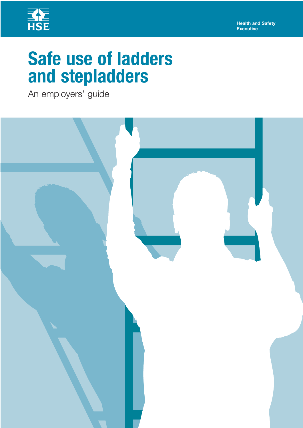**Health and Safety Executive**



# **Safe use of ladders and stepladders**

An employers' guide

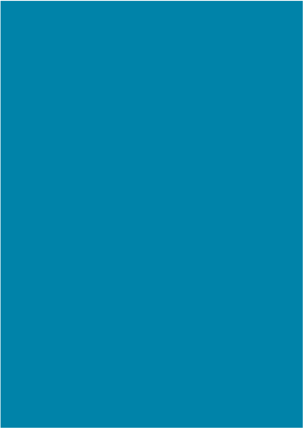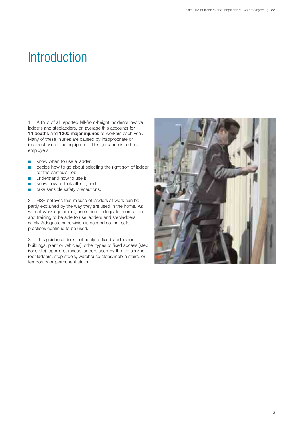### Introduction

1 A third of all reported fall-from-height incidents involve ladders and stepladders, on average this accounts for **14 deaths** and **1200 major injuries** to workers each year. Many of these injuries are caused by inappropriate or incorrect use of the equipment. This guidance is to help employers:

- know when to use a ladder;
- decide how to go about selecting the right sort of ladder for the particular job;
- understand how to use it;
- know how to look after it; and
- take sensible safety precautions.

2 HSE believes that misuse of ladders at work can be partly explained by the way they are used in the home. As with all work equipment, users need adequate information and training to be able to use ladders and stepladders safely. Adequate supervision is needed so that safe practices continue to be used.

3 This guidance does not apply to fixed ladders (on buildings, plant or vehicles), other types of fixed access (step irons etc), specialist rescue ladders used by the fire service, roof ladders, step stools, warehouse steps/mobile stairs, or temporary or permanent stairs.

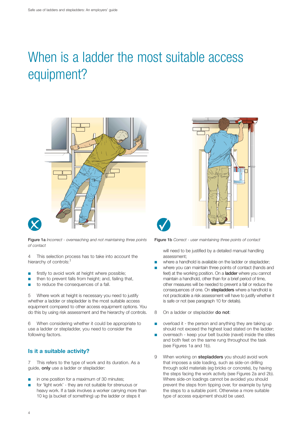## When is a ladder the most suitable access equipment?



**Figure 1a** *Incorrect - overreaching and not maintaining three points of contact*

4 This selection process has to take into account the hierarchy of controls:<sup>1</sup>

- firstly to avoid work at height where possible;
- then to prevent falls from height; and, failing that,
- to reduce the consequences of a fall.

5 Where work at height is necessary you need to justify whether a ladder or stepladder is the most suitable access equipment compared to other access equipment options. You do this by using risk assessment and the hierarchy of controls.

6 When considering whether it could be appropriate to use a ladder or stepladder, you need to consider the following factors.

### **Is it a suitable activity?**

7 This refers to the type of work and its duration. As a guide, **only** use a ladder or stepladder:

- in one position for a maximum of 30 minutes;
- for 'light work' they are not suitable for strenuous or heavy work. If a task involves a worker carrying more than 10 kg (a bucket of something) up the ladder or steps it



**Figure 1b** *Correct - user maintaining three points of contact*

will need to be justified by a detailed manual handling assessment;

- where a handhold is available on the ladder or stepladder;
- where you can maintain three points of contact (hands and feet) at the working position. On a **ladder** where you cannot maintain a handhold, other than for a brief period of time, other measures will be needed to prevent a fall or reduce the consequences of one. On **stepladders** where a handhold is not practicable a risk assessment will have to justify whether it is safe or not (see paragraph 10 for details).
- 8 On a ladder or stepladder **do not**:
- overload it the person and anything they are taking up should not exceed the highest load stated on the ladder;
- overreach keep your belt buckle (navel) inside the stiles and both feet on the same rung throughout the task (see Figures 1a and 1b).
- 9 When working on **stepladders** you should avoid work that imposes a side loading, such as side-on drilling through solid materials (eg bricks or concrete), by having the steps facing the work activity (see Figures 2a and 2b). Where side-on loadings cannot be avoided you should prevent the steps from tipping over, for example by tying the steps to a suitable point. Otherwise a more suitable type of access equipment should be used.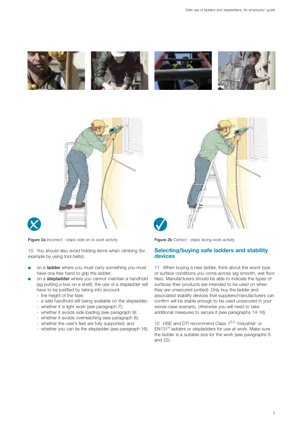



**Figure 2a** *Incorrect - steps side-on to work activity*

10 You should also avoid holding items when climbing (for example by using tool belts):

- on a **ladder** where you must carry something you must have one free hand to grip the ladder;
- on a **stepladder** where you cannot maintain a handhold (eg putting a box on a shelf), the use of a stepladder will have to be justified by taking into account:
	- the height of the task;
	- a safe handhold still being available on the stepladder;
	- whether it is light work (see paragraph 7);
	- whether it avoids side loading (see paragraph 9);
	- whether it avoids overreaching (see paragraph 8);
	- whether the user's feet are fully supported; and
	- whether you can tie the stepladder (see paragraph 16).



### **Selecting/buying safe ladders and stability devices**

11 When buying a new ladder, think about the worst type of surface conditions you come across (eg smooth, wet floor tiles). Manufacturers should be able to indicate the types of surfaces their products are intended to be used on when they are unsecured (untied). Only buy the ladder and associated stability devices that suppliers/manufacturers can confirm will be stable enough to be used unsecured in your worse-case scenario, otherwise you will need to take additional measures to secure it (see paragraphs 14-16).

12 HSE and DTI recommend Class  $1^{2,3}$  'Industrial' or EN1314 ladders or stepladders for use at work. Make sure the ladder is a suitable size for the work (see paragraphs 9 and 22).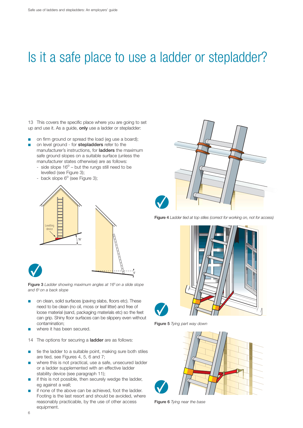### Is it a safe place to use a ladder or stepladder?

13 This covers the specific place where you are going to set up and use it. As a guide, **only** use a ladder or stepladder:

- on firm ground or spread the load (eg use a board);
- on level ground for **stepladders** refer to the manufacturer's instructions, for **ladders** the maximum safe ground slopes on a suitable surface (unless the manufacturer states otherwise) are as follows:
	- side slope  $16^{\circ}$  but the rungs still need to be levelled (see Figure 3);
	- back slope  $6^{\circ}$  (see Figure 3);



**Figure 3** *Ladder showing maximum angles at 160 on a slide slope and 60 on a back slope*

- on clean, solid surfaces (paving slabs, floors etc). These need to be clean (no oil, moss or leaf litter) and free of loose material (sand, packaging materials etc) so the feet can grip. Shiny floor surfaces can be slippery even without contamination;
- where it has been secured.
- 14 The options for securing a **ladder** are as follows:
- tie the ladder to a suitable point, making sure both stiles are tied, see Figures 4, 5, 6 and 7;
- where this is not practical, use a safe, unsecured ladder or a ladder supplemented with an effective ladder stability device (see paragraph 11);
- if this is not possible, then securely wedge the ladder, eg against a wall;
- if none of the above can be achieved, foot the ladder. Footing is the last resort and should be avoided, where reasonably practicable, by the use of other access equipment.



**Figure 4** *Ladder tied at top stiles (correct for working on, not for access)*



**Figure 5** *Tying part way down*

✓



**Figure 6** *Tying near the base*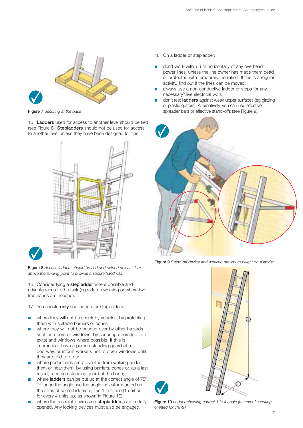

**Figure 7** *Securing at the base*

✓

✓

15 **Ladders** used for access to another level should be tied (see Figure 8). **Stepladders** should not be used for access to another level unless they have been designed for this.



**Figure 8** *Access ladders should be tied and extend at least 1 m above the landing point to provide a secure handhold*

16 Consider tying a **stepladder** where possible and advantageous to the task (eg side-on working or where two free hands are needed).

- 17 You should **only** use ladders or stepladders:
- where they will not be struck by vehicles, by protecting them with suitable barriers or cones;
- where they will not be pushed over by other hazards such as doors or windows, by securing doors (not fire exits) and windows where possible. If this is impractical, have a person standing guard at a doorway, or inform workers not to open windows until they are told to do so;
- where pedestrians are prevented from walking under them or near them, by using barriers, cones or, as a last resort, a person standing guard at the base;
- where **ladders** can be put up at the correct angle of 75<sup>o</sup>. To judge the angle use the angle indicator marked on the stiles of some ladders or the 1 in 4 rule (1 unit out for every 4 units up, as shown in Figure 10);
- where the restraint devices on **stepladders** can be fully opened. Any locking devices must also be engaged.

18 On a ladder or stepladder:

- don't work within 6 m horizontally of any overhead power lines, unless the line owner has made them dead or protected with temporary insulation. If this is a regular activity, find out if the lines can be moved;
- always use a non-conductive ladder or steps for any necessary<sup>5</sup> live electrical work;
- don't rest **ladders** against weak upper surfaces (eg glazing or plastic gutters). Alternatively, you can use effective spreader bars or effective stand-offs (see Figure 9).



**Figure 9** *Stand-off device and working maximum height on a ladder*



**Figure 10** *Ladder showing correct 1 in 4 angle (means of securing omitted for clarity)*

✓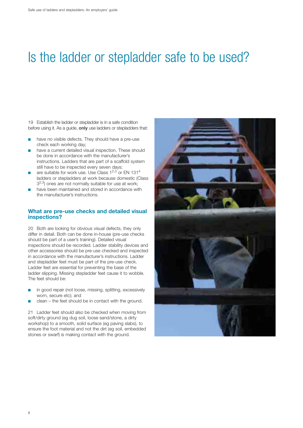### Is the ladder or stepladder safe to be used?

19 Establish the ladder or stepladder is in a safe condition before using it. As a guide, **only** use ladders or stepladders that:

- have no visible defects. They should have a pre-use check each working day;
- have a current detailed visual inspection. These should be done in accordance with the manufacturer's instructions. Ladders that are part of a scaffold system still have to be inspected every seven days;
- are suitable for work use. Use Class  $1^{2,3}$  or EN 131<sup>4</sup> ladders or stepladders at work because domestic (Class  $3^{2,3}$ ) ones are not normally suitable for use at work;
- have been maintained and stored in accordance with the manufacturer's instructions.

### **What are pre-use checks and detailed visual inspections?**

20 Both are looking for obvious visual defects, they only differ in detail. Both can be done in-house (pre-use checks should be part of a user's training). Detailed visual inspections should be recorded. Ladder stability devices and other accessories should be pre-use checked and inspected in accordance with the manufacturer's instructions. Ladder and stepladder feet must be part of the pre-use check. Ladder feet are essential for preventing the base of the ladder slipping. Missing stepladder feet cause it to wobble. The feet should be:

- in good repair (not loose, missing, splitting, excessively worn, secure etc); and
- clean the feet should be in contact with the ground.

21 Ladder feet should also be checked when moving from soft/dirty ground (eg dug soil, loose sand/stone, a dirty workshop) to a smooth, solid surface (eg paving slabs), to ensure the foot material and not the dirt (eg soil, embedded stones or swarf) is making contact with the ground.

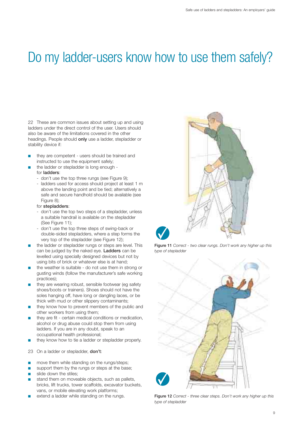### Do my ladder-users know how to use them safely?

22 These are common issues about setting up and using ladders under the direct control of the user. Users should also be aware of the limitations covered in the other headings. People should **only** use a ladder, stepladder or stability device if:

- they are competent users should be trained and instructed to use the equipment safely;
- the ladder or stepladder is long enough for **ladders**:
	- don't use the top three rungs (see Figure 9);
	- ladders used for access should project at least 1 m above the landing point and be tied; alternatively a safe and secure handhold should be available (see Figure 8):

#### for **stepladders**:

- don't use the top two steps of a stepladder, unless a suitable handrail is available on the stepladder (See Figure 11);
- don't use the top three steps of swing-back or double-sided stepladders, where a step forms the very top of the stepladder (see Figure 12);
- the ladder or stepladder rungs or steps are level. This can be judged by the naked eye. **Ladders** can be levelled using specially designed devices but not by using bits of brick or whatever else is at hand;
- the weather is suitable do not use them in strong or gusting winds (follow the manufacturer's safe working practices);
- they are wearing robust, sensible footwear (eg safety shoes/boots or trainers). Shoes should not have the soles hanging off, have long or dangling laces, or be thick with mud or other slippery contaminants;
- they know how to prevent members of the public and other workers from using them;
- they are fit certain medical conditions or medication, alcohol or drug abuse could stop them from using ladders. If you are in any doubt, speak to an occupational health professional;
- they know how to tie a ladder or stepladder properly.
- 23 On a ladder or stepladder, **don't**:
- move them while standing on the rungs/steps:
- support them by the rungs or steps at the base;
- slide down the stiles;
- stand them on moveable objects, such as pallets, bricks, lift trucks, tower scaffolds, excavator buckets, vans, or mobile elevating work platforms;
- extend a ladder while standing on the rungs.



**Figure 11** *Correct - two clear rungs. Don't work any higher up this type of stepladder*



**Figure 12** *Correct - three clear steps. Don't work any higher up this type of stepladder*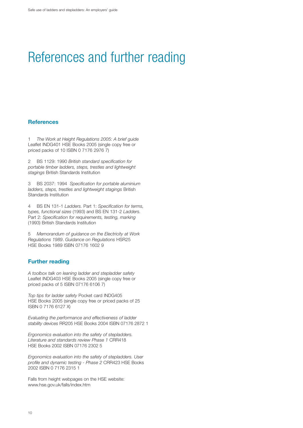### References and further reading

#### **References**

1 *The Work at Height Regulations 2005: A brief guide* Leaflet INDG401 HSE Books 2005 (single copy free or priced packs of 10 ISBN 0 7176 2976 7)

2 BS 1129: 1990 *British standard specification for portable timber ladders, steps, trestles and lightweight stagings* British Standards Institution

3 BS 2037: 1994 *Specification for portable aluminium ladders, steps, trestles and lightweight stagings* British Standards Institution

4 BS EN 131-1 *Ladders.* Part 1: *Specification for terms, types, functional sizes* (1993) and BS EN 131-2 *Ladders.* Part 2: *Specification for requirements, testing, marking* (1993) British Standards Institution

5 *Memorandum of guidance on the Electricity at Work Regulations 1989*. *Guidance on Regulations* HSR25 HSE Books 1989 ISBN 07176 1602 9

### **Further reading**

*A toolbox talk on leaning ladder and stepladder safety* Leaflet INDG403 HSE Books 2005 (single copy free or priced packs of 5 ISBN 07176 6106 7)

*Top tips for ladder safety* Pocket card INDG405 HSE Books 2005 (single copy free or priced packs of 25 ISBN 0 7176 6127 X)

*Evaluating the performance and effectiveness of ladder stability devices* RR205 HSE Books 2004 ISBN 07176 2872 1

*Ergonomics evaluation into the safety of stepladders. Literature and standards review Phase 1* CRR418 HSE Books 2002 ISBN 07176 2302 5

*Ergonomics evaluation into the safety of stepladders. User profile and dynamic testing - Phase 2* CRR423 HSE Books 2002 ISBN 0 7176 2315 1

Falls from height webpages on the HSE website: www.hse.gov.uk/falls/index.htm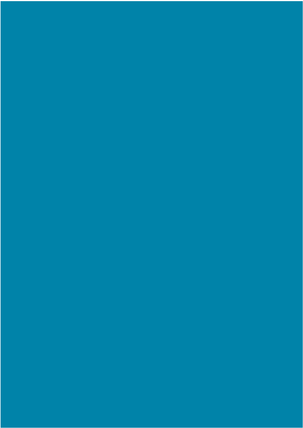